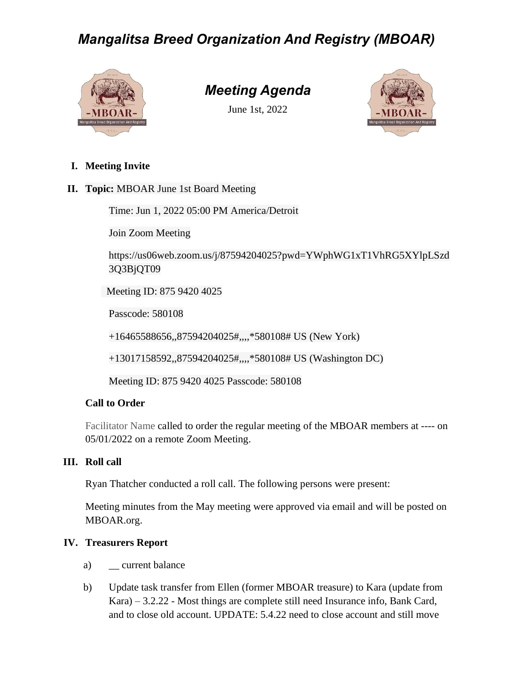# *Mangalitsa Breed Organization And Registry (MBOAR)*



# *Meeting Agenda*

June 1st, 2022



- **I. Meeting Invite**
- **II. Topic:** MBOAR June 1st Board Meeting

Time: Jun 1, 2022 05:00 PM America/Detroit

Join Zoom Meeting

https://us06web.zoom.us/j/87594204025?pwd=YWphWG1xT1VhRG5XYlpLSzd 3Q3BjQT09

Meeting ID: 875 9420 4025

Passcode: 580108

+16465588656,,87594204025#,,,,\*580108# US (New York)

+13017158592,,87594204025#,,,,\*580108# US (Washington DC)

Meeting ID: 875 9420 4025 Passcode: 580108

### **Call to Order**

Facilitator Name called to order the regular meeting of the MBOAR members at ---- on 05/01/2022 on a remote Zoom Meeting.

### **III. Roll call**

Ryan Thatcher conducted a roll call. The following persons were present:

Meeting minutes from the May meeting were approved via email and will be posted on MBOAR.org.

### **IV. Treasurers Report**

- a) current balance
- b) Update task transfer from Ellen (former MBOAR treasure) to Kara (update from Kara) – 3.2.22 - Most things are complete still need Insurance info, Bank Card, and to close old account. UPDATE: 5.4.22 need to close account and still move